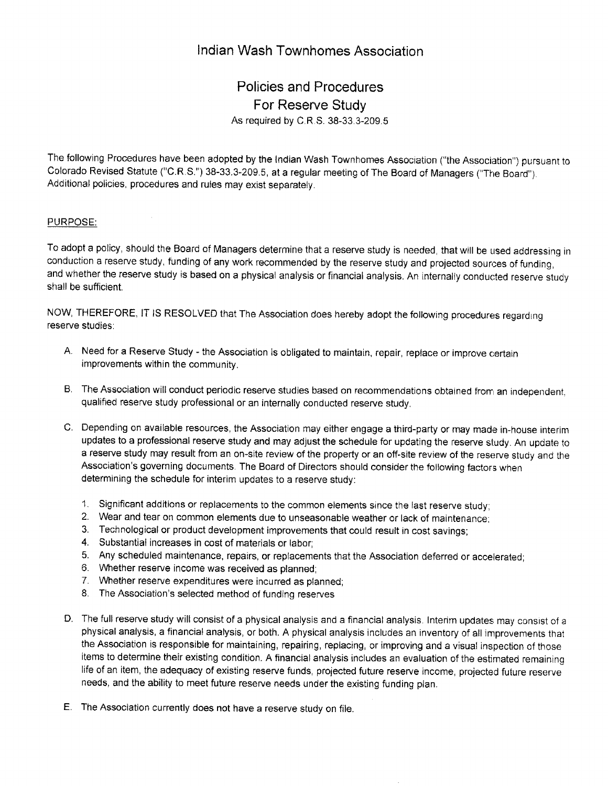## lndian Wash Townhomes Association

## Policies and Procedures For Reserve Study As required by C R S. 38-33 3-209.5

The following Procedures have been adopted by the lndian Wash Townhomes Association ("the Associgtion") pursuant to Colorado Revised Statute ("C.R.S.") 38-33.3-209.5, at a regular meeting of The Board of Managers ("The Board"). Additional policies, procedures and rules may exist separately.

## PURPOSE:

To adopt a policy, should the Board of Managers determine that a reserve study is needed, that will be used addressing in conduction a reserve study, funding of any work recommended by the reserve study and projected sources of funding, and whether the reserve study is based on a physical analysis or financial analysis. An internally conducted reserve study shall be sufficient.

NOW, THEREFORE, IT IS RESOLVED that The Association does hereby adopt the following procedures regarding reserve studies:

- A. Need for a Reserve Study the Association is obligated to maintain, repair, replace or improve certain improvements within the community.
- B. The Association will conduct periodic reserve studies based on recommendations obtained from an independent, qualified reserve study professional or an internally conducted reserve study,
- C. Depending on available resources, the Association may either engage a third-party or may made in-house interim updates to a professional reserve study and may adjust the schedule for updating the reserve study. An update to a reserve study may result from an on-site review of the property or an off-site review of the reserve study and the Association's governing documents, The Board of Directors should consider the following factors when determining the schedule for interim updates to a reserve study:
	- 1. Significant additions or replacements to the common elements since the last reserve study;
	- 2. Wear and tear on common elements due to unseasonable weather or lack of maintenance,
	- 3. Technological or product development improvements that could result in cost savings;
	- 4. Substantial increases in cost of materials or labor;
	- 5. Any scheduled maintenance, repairs, or replacements that the Association deferred or accelerated;
	- 6. Whether reserve income was received as planned,
	- 7. Whether reserve expenditures were incurred as planned;
	- 8. The Association's selected method of funding reserves
- D. The full reserve study will consist of a physical analysis and a financial analysis. Interim updates may consist of a physical analysis, a financial analysis, or both. A physical analysis includes an inventory of all improvements that the Association is responsible for maintaining, repairing, replacing, or improving and a visual inspection of those items to determine their existing condition. A financial analysis includes an evaluation of the estimated remaining life of an item, the adequacy of existing reserye funds, projected future reserve income, projected future reserve needs, and the ability to meet future reserve needs under the existing funding plan.
- The Association currently does not have a reserue study on file. E.